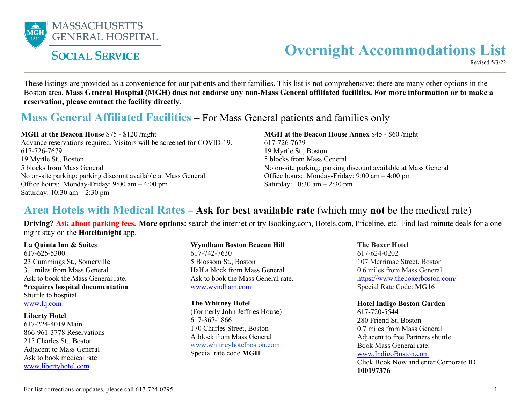

# **SOCIAL SERVICE**

# **Overnight Accommodations List**

Revised 5/3/22

These listings are provided as a convenience for our patients and their families. This list is not comprehensive; there are many other options in the Boston area. **Mass General Hospital (MGH) does not endorse any non-Mass General affiliated facilities. For more information or to make a reservation, please contact the facility directly.**

# **Mass General Affiliated Facilities –** For Mass General patients and families only

**MGH at the Beacon House** \$75 - \$120 /night

Advance reservations required. Visitors will be screened for COVID-19. 617-726-7679 19 Myrtle St., Boston 5 blocks from Mass General No on-site parking; parking discount available at Mass General Office hours: Monday-Friday: 9:00 am – 4:00 pm Saturday: 10:30 am – 2:30 pm

**MGH at the Beacon House Annex** \$45 - \$60 /night 617-726-7679 19 Myrtle St., Boston 5 blocks from Mass General No on-site parking; parking discount available at Mass General Office hours: Monday-Friday: 9:00 am – 4:00 pm Saturday: 10:30 am – 2:30 pm

### **Area Hotels with Medical Rates** – **Ask for best available rate** (which may **not** be the medical rate)

**Driving? Ask about parking fees. More options:** search the internet or try Booking.com, Hotels.com, Priceline, etc. Find last-minute deals for a onenight stay on the **Hoteltonight** app.

**La Quinta Inn & Suites**  617-625-5300 23 Cummings St., Somerville 3.1 miles from Mass General Ask to book the Mass General rate. **\*requires hospital documentation**  Shuttle to hospital [www.lq.com](http://www.lq.com/)

#### **Liberty Hotel**

617-224-4019 Main 866-961-3778 Reservations 215 Charles St., Boston Adjacent to Mass General Ask to book medical rate [www.libertyhotel.com](http://www.libertyhotel.com/)

**Wyndham Boston Beacon Hill**  617-742-7630 5 Blossom St., Boston Half a block from Mass General Ask to book the Mass General rate.

#### [www.wyndham.com](http://www.wyndham.com/hotels/massachusetts/boston/wyndham-boston-beacon-hill/hotel-overview?page=hotel-overview&hotel_id=47151&corporate_id=62182712&ref_id=WYNDHAMCORP)

#### **The Whitney Hotel**

(Formerly John Jeffries House) 617-367-1866 170 Charles Street, Boston A block from Mass General [www.whitneyhotelboston.com](https://www.thewhitneyhotelboston.com/) Special rate code **MGH**

**The Boxer Hotel** 617-624-0202 107 Merrimac Street, Boston 0.6 miles from Mass General [https://www.theboxerboston.com/](https://reservations.travelclick.com/112948?RatePlanId=5033752&identifier=MG16) Special Rate Code: **MG16**

#### **Hotel Indigo Boston Garden**

617-720-5544 280 Friend St, Boston 0.7 miles from Mass General Adjacent to free Partners shuttle. Book Mass General rate: [www.IndigoBoston.com](http://www.indigoboston.com/)  Click Book Now and enter Corporate ID **100197376**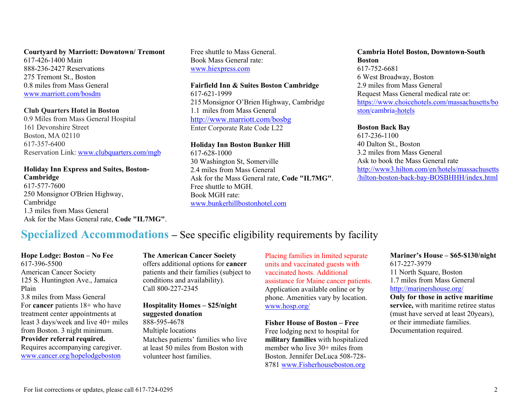**Courtyard by Marriott: Downtown/ Tremont**  617-426-1400 Main 888-236-2427 Reservations 275 Tremont St., Boston 0.8 miles from Mass General [www.marriott.com/bosdm](http://www.marriott.com/bosdm)

#### **Club Quarters Hotel in Boston**

0.9 Miles from Mass General Hospital 161 Devonshire Street Boston, MA 02110 617-357-6400 Reservation Link: [www.clubquarters.com/mgb](http://www.clubquarters.com/mgb)

#### **Holiday Inn Express and Suites, Boston-Cambridge**

617-577-7600 250 Monsignor O'Brien Highway, Cambridge 1.3 miles from Mass General Ask for the Mass General rate, **Code "IL7MG"**. Free shuttle to Mass General. Book Mass General rate: [www.hiexpress.com](http://www.hiexpress.com/redirect?path=hd&brandCode=ex&localeCode=en®ionCode=1&hotelCode=BOSCB&rateCode=IL7MG&_PMID=99502056&corpNum=100197376)

### **Fairfield Inn & Suites Boston Cambridge**

617-621-1999 215Monsignor O'Brien Highway, Cambridge 1.1 miles from Mass General <http://www.marriott.com/bosbg> Enter Corporate Rate Code L22

#### **Holiday Inn Boston Bunker Hill**

617-628-1000 30 Washington St, Somerville 2.4 miles from Mass General Ask for the Mass General rate, **Code "IL7MG"**. Free shuttle to MGH. Book MGH rate: [www.bunkerhillbostonhotel.com](http://www.holidayinn.com/redirect?path=hd&brandCode=hi&localeCode=en&hotelCode=BOSSV&rateCode=IL7MG&_PMID=99502056&corpNum=100197376)

#### **Cambria Hotel Boston, Downtown-South Boston**  617-752-6681 6 West Broadway, Boston 2.9 miles from Mass General Request Mass General medical rate or: [https://www.choicehotels.com/massachusetts/bo](https://www.choicehotels.com/massachusetts/boston/cambria-hotels/ma229/rates?ratePlanCode=LMEDIC&hotel=MA229&pu=no) [ston/cambria-hotels](https://www.choicehotels.com/massachusetts/boston/cambria-hotels/ma229/rates?ratePlanCode=LMEDIC&hotel=MA229&pu=no)

#### **Boston Back Bay**

617-236-1100 40 Dalton St., Boston 3.2 miles from Mass General Ask to book the Mass General rate [http://www3.hilton.com/en/hotels/massachusetts](http://www3.hilton.com/en/hotels/massachusetts/hilton-boston-back-bay-BOSBHHH/index.html) [/hilton-boston-back-bay-BOSBHHH/index.html](http://www3.hilton.com/en/hotels/massachusetts/hilton-boston-back-bay-BOSBHHH/index.html) 

## **Specialized Accommodations –** See specific eligibility requirements by facility

**Hope Lodge: Boston – No Fee** 617-396-5500 American Cancer Society 125 S. Huntington Ave., Jamaica Plain 3.8 miles from Mass General For **cancer** patients 18+ who have treatment center appointments at least 3 days/week and live 40+ miles from Boston. 3 night minimum. **Provider referral required.** Requires accompanying caregiver. [www.cancer.org/hopelodgeboston](http://www.cancer.org/hopelodgeboston)

**The American Cancer Society**  offers additional options for **cancer** patients and their families (subject to conditions and availability). Call 800-227-2345

#### **Hospitality Homes – \$25/night suggested donation**

888-595-4678 Multiple locations Matches patients' families who live at least 50 miles from Boston with volunteer host families.

Placing families in limited separate units and vaccinated guests with vaccinated hosts. Additional assistance for Maine cancer patients. Application available online or by phone. Amenities vary by location. [www.hosp.org/](http://www.hosp.org/)

**Fisher House of Boston – Free** Free lodging next to hospital for **military families** with hospitalized member who live 30+ miles from Boston. Jennifer DeLuca 508-728- 8781 [www.Fisherhouseboston.org](http://www.fisherhouseboston.org/)

**Mariner's House – \$65-\$130/night** 617-227-3979 11 North Square, Boston 1.7 miles from Mass General <http://marinershouse.org/> **Only for those in active maritime service,** with maritime retiree status (must have served at least 20years), or their immediate families.

Documentation required.